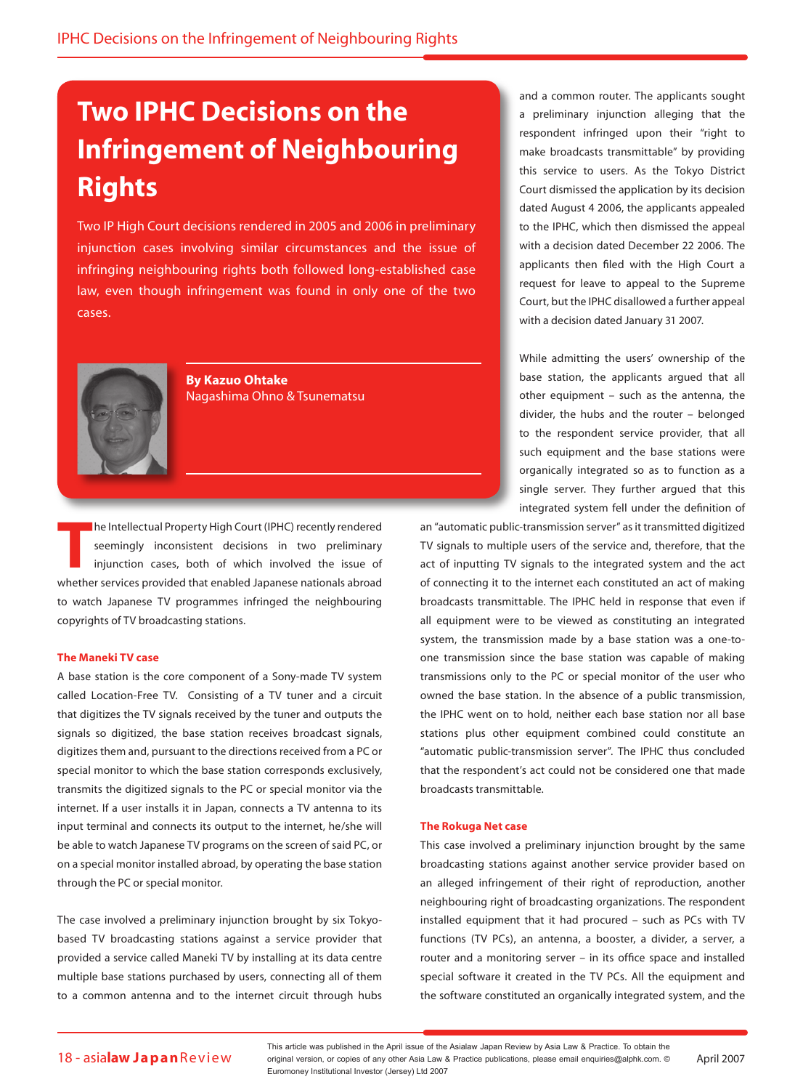# **Two IPHC Decisions on the Infringement of Neighbouring Rights**

Two IP High Court decisions rendered in 2005 and 2006 in preliminary injunction cases involving similar circumstances and the issue of infringing neighbouring rights both followed long-established case law, even though infringement was found in only one of the two cases.



**By Kazuo Ohtake**  Nagashima Ohno & Tsunematsu

**The Intellectual Property High Court (IPHC) recently rendered seemingly inconsistent decisions in two preliminary injunction cases, both of which involved the issue of whether services provided that enabled Japanese natio** he Intellectual Property High Court (IPHC) recently rendered seemingly inconsistent decisions in two preliminary injunction cases, both of which involved the issue of to watch Japanese TV programmes infringed the neighbouring copyrights of TV broadcasting stations.

## **The Maneki TV case**

A base station is the core component of a Sony-made TV system called Location-Free TV. Consisting of a TV tuner and a circuit that digitizes the TV signals received by the tuner and outputs the signals so digitized, the base station receives broadcast signals, digitizes them and, pursuant to the directions received from a PC or special monitor to which the base station corresponds exclusively, transmits the digitized signals to the PC or special monitor via the internet. If a user installs it in Japan, connects a TV antenna to its input terminal and connects its output to the internet, he/she will be able to watch Japanese TV programs on the screen of said PC, or on a special monitor installed abroad, by operating the base station through the PC or special monitor.

The case involved a preliminary injunction brought by six Tokyobased TV broadcasting stations against a service provider that provided a service called Maneki TV by installing at its data centre multiple base stations purchased by users, connecting all of them to a common antenna and to the internet circuit through hubs

and a common router. The applicants sought a preliminary injunction alleging that the respondent infringed upon their "right to make broadcasts transmittable" by providing this service to users. As the Tokyo District Court dismissed the application by its decision dated August 4 2006, the applicants appealed to the IPHC, which then dismissed the appeal with a decision dated December 22 2006. The applicants then filed with the High Court a request for leave to appeal to the Supreme Court, but the IPHC disallowed a further appeal with a decision dated January 31 2007.

While admitting the users' ownership of the base station, the applicants argued that all other equipment – such as the antenna, the divider, the hubs and the router – belonged to the respondent service provider, that all such equipment and the base stations were organically integrated so as to function as a single server. They further argued that this integrated system fell under the definition of

an "automatic public-transmission server" as it transmitted digitized TV signals to multiple users of the service and, therefore, that the act of inputting TV signals to the integrated system and the act of connecting it to the internet each constituted an act of making broadcasts transmittable. The IPHC held in response that even if all equipment were to be viewed as constituting an integrated system, the transmission made by a base station was a one-toone transmission since the base station was capable of making transmissions only to the PC or special monitor of the user who owned the base station. In the absence of a public transmission, the IPHC went on to hold, neither each base station nor all base stations plus other equipment combined could constitute an "automatic public-transmission server". The IPHC thus concluded that the respondent's act could not be considered one that made broadcasts transmittable.

#### **The Rokuga Net case**

This case involved a preliminary injunction brought by the same broadcasting stations against another service provider based on an alleged infringement of their right of reproduction, another neighbouring right of broadcasting organizations. The respondent installed equipment that it had procured – such as PCs with TV functions (TV PCs), an antenna, a booster, a divider, a server, a router and a monitoring server – in its office space and installed special software it created in the TV PCs. All the equipment and the software constituted an organically integrated system, and the

18 - asialaw JapanReview original version, or copies of any other Asia Law & Practice publications, please email enquiries@alphk.com. © April 2007 This article was published in the April issue of the Asialaw Japan Review by Asia Law & Practice. To obtain the Euromoney Institutional Investor (Jersey) Ltd 2007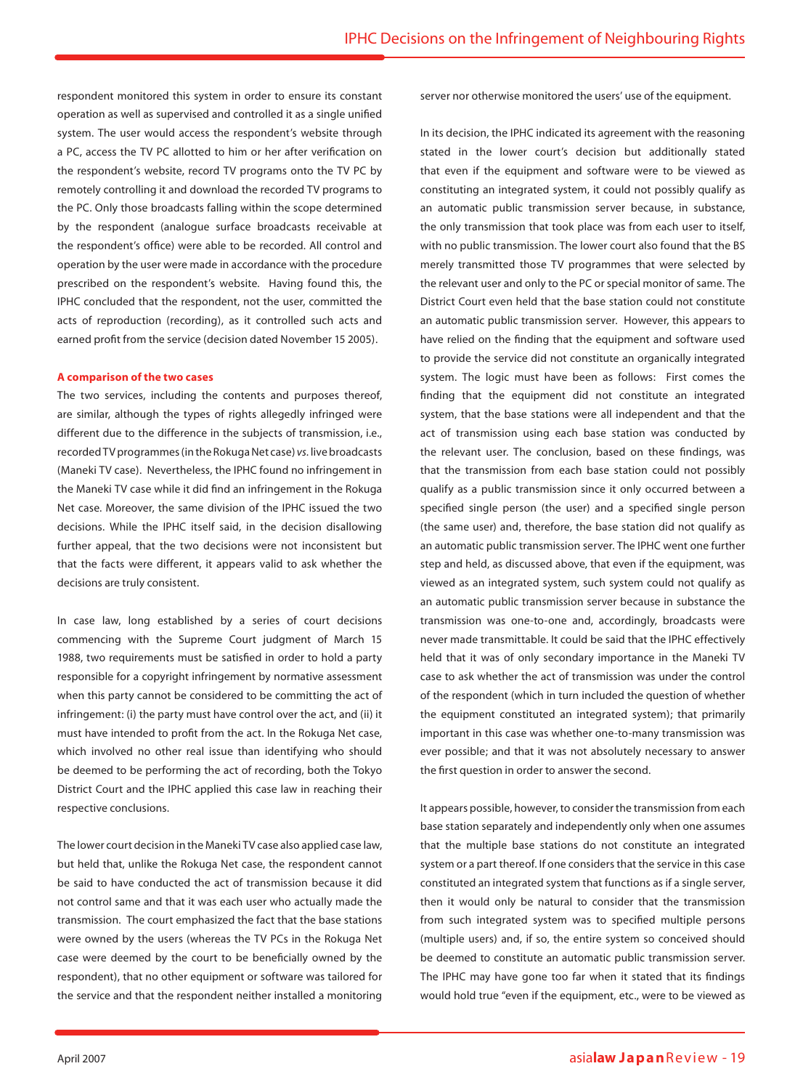respondent monitored this system in order to ensure its constant operation as well as supervised and controlled it as a single unified system. The user would access the respondent's website through a PC, access the TV PC allotted to him or her after verification on the respondent's website, record TV programs onto the TV PC by remotely controlling it and download the recorded TV programs to the PC. Only those broadcasts falling within the scope determined by the respondent (analogue surface broadcasts receivable at the respondent's office) were able to be recorded. All control and operation by the user were made in accordance with the procedure prescribed on the respondent's website. Having found this, the IPHC concluded that the respondent, not the user, committed the acts of reproduction (recording), as it controlled such acts and earned profit from the service (decision dated November 15 2005).

#### **A comparison of the two cases**

The two services, including the contents and purposes thereof, are similar, although the types of rights allegedly infringed were different due to the difference in the subjects of transmission, i.e., recorded TV programmes (in the Rokuga Net case) *vs.* live broadcasts (Maneki TV case). Nevertheless, the IPHC found no infringement in the Maneki TV case while it did find an infringement in the Rokuga Net case. Moreover, the same division of the IPHC issued the two decisions. While the IPHC itself said, in the decision disallowing further appeal, that the two decisions were not inconsistent but that the facts were different, it appears valid to ask whether the decisions are truly consistent.

In case law, long established by a series of court decisions commencing with the Supreme Court judgment of March 15 1988, two requirements must be satisfied in order to hold a party responsible for a copyright infringement by normative assessment when this party cannot be considered to be committing the act of infringement: (i) the party must have control over the act, and (ii) it must have intended to profit from the act. In the Rokuga Net case, which involved no other real issue than identifying who should be deemed to be performing the act of recording, both the Tokyo District Court and the IPHC applied this case law in reaching their respective conclusions.

The lower court decision in the Maneki TV case also applied case law, but held that, unlike the Rokuga Net case, the respondent cannot be said to have conducted the act of transmission because it did not control same and that it was each user who actually made the transmission. The court emphasized the fact that the base stations were owned by the users (whereas the TV PCs in the Rokuga Net case were deemed by the court to be beneficially owned by the respondent), that no other equipment or software was tailored for the service and that the respondent neither installed a monitoring

server nor otherwise monitored the users' use of the equipment.

In its decision, the IPHC indicated its agreement with the reasoning stated in the lower court's decision but additionally stated that even if the equipment and software were to be viewed as constituting an integrated system, it could not possibly qualify as an automatic public transmission server because, in substance, the only transmission that took place was from each user to itself, with no public transmission. The lower court also found that the BS merely transmitted those TV programmes that were selected by the relevant user and only to the PC or special monitor of same. The District Court even held that the base station could not constitute an automatic public transmission server. However, this appears to have relied on the finding that the equipment and software used to provide the service did not constitute an organically integrated system. The logic must have been as follows: First comes the finding that the equipment did not constitute an integrated system, that the base stations were all independent and that the act of transmission using each base station was conducted by the relevant user. The conclusion, based on these findings, was that the transmission from each base station could not possibly qualify as a public transmission since it only occurred between a specified single person (the user) and a specified single person (the same user) and, therefore, the base station did not qualify as an automatic public transmission server. The IPHC went one further step and held, as discussed above, that even if the equipment, was viewed as an integrated system, such system could not qualify as an automatic public transmission server because in substance the transmission was one-to-one and, accordingly, broadcasts were never made transmittable. It could be said that the IPHC effectively held that it was of only secondary importance in the Maneki TV case to ask whether the act of transmission was under the control of the respondent (which in turn included the question of whether the equipment constituted an integrated system); that primarily important in this case was whether one-to-many transmission was ever possible; and that it was not absolutely necessary to answer the first question in order to answer the second.

It appears possible, however, to consider the transmission from each base station separately and independently only when one assumes that the multiple base stations do not constitute an integrated system or a part thereof. If one considers that the service in this case constituted an integrated system that functions as if a single server, then it would only be natural to consider that the transmission from such integrated system was to specified multiple persons (multiple users) and, if so, the entire system so conceived should be deemed to constitute an automatic public transmission server. The IPHC may have gone too far when it stated that its findings would hold true "even if the equipment, etc., were to be viewed as